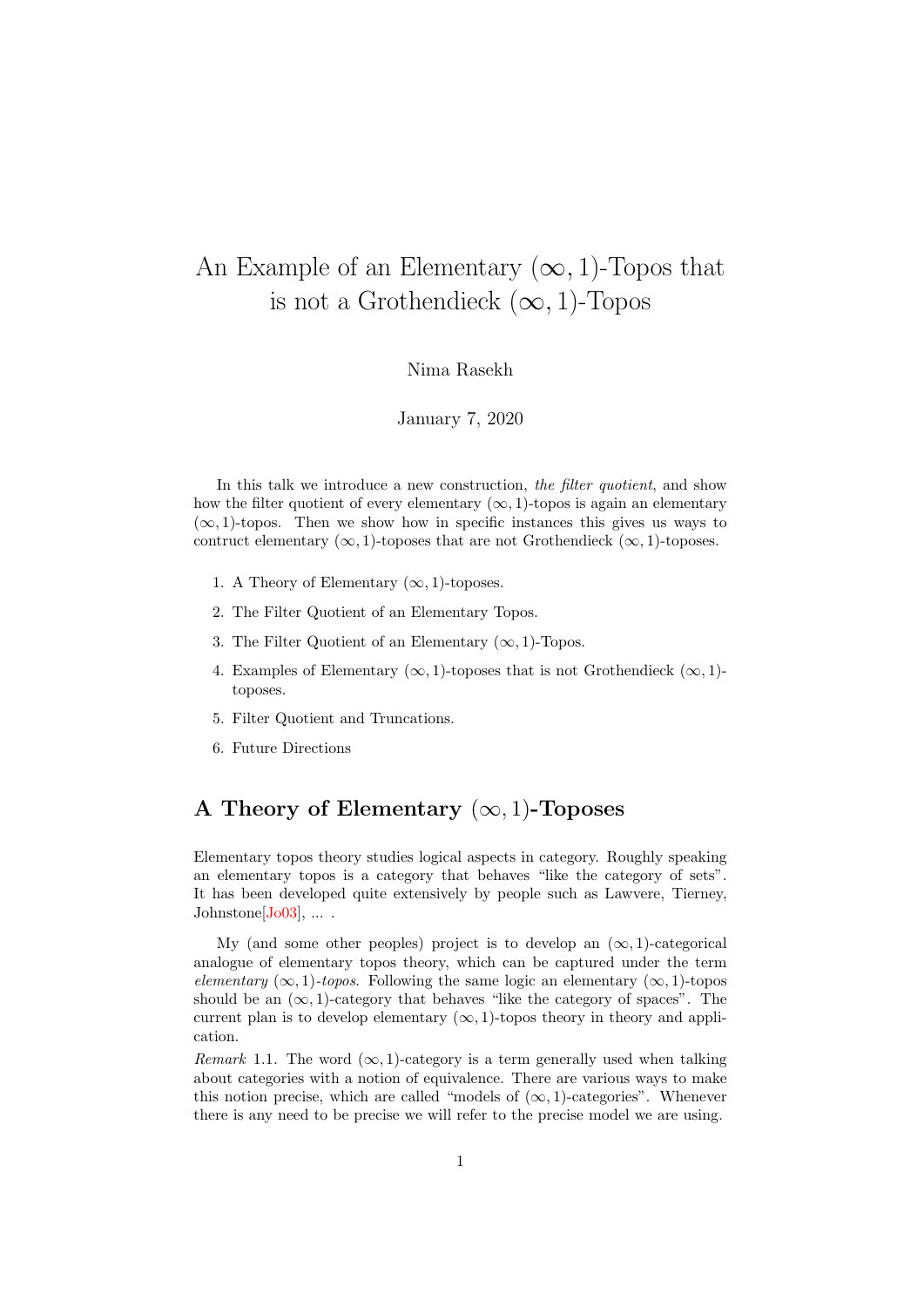# An Example of an Elementary  $(\infty, 1)$ -Topos that is not a Grothendieck  $(\infty, 1)$ -Topos

#### Nima Rasekh

#### January 7, 2020

In this talk we introduce a new construction, the filter quotient, and show how the filter quotient of every elementary  $(\infty, 1)$ -topos is again an elementary  $(\infty, 1)$ -topos. Then we show how in specific instances this gives us ways to contruct elementary  $(\infty, 1)$ -toposes that are not Grothendieck  $(\infty, 1)$ -toposes.

- 1. A Theory of Elementary  $(\infty, 1)$ -toposes.
- 2. The Filter Quotient of an Elementary Topos.
- 3. The Filter Quotient of an Elementary  $(\infty, 1)$ -Topos.
- 4. Examples of Elementary  $(\infty, 1)$ -toposes that is not Grothendieck  $(\infty, 1)$ toposes.
- 5. Filter Quotient and Truncations.
- 6. Future Directions

## A Theory of Elementary  $(\infty, 1)$ -Toposes

Elementary topos theory studies logical aspects in category. Roughly speaking an elementary topos is a category that behaves "like the category of sets". It has been developed quite extensively by people such as Lawvere, Tierney, Johnstone [\[Jo03\]](#page-7-0), ....

My (and some other peoples) project is to develop an  $(\infty, 1)$ -categorical analogue of elementary topos theory, which can be captured under the term elementary ( $\infty$ , 1)-topos. Following the same logic an elementary ( $\infty$ , 1)-topos should be an  $(\infty, 1)$ -category that behaves "like the category of spaces". The current plan is to develop elementary  $(\infty, 1)$ -topos theory in theory and application.

Remark 1.1. The word  $(\infty, 1)$ -category is a term generally used when talking about categories with a notion of equivalence. There are various ways to make this notion precise, which are called "models of  $(\infty, 1)$ -categories". Whenever there is any need to be precise we will refer to the precise model we are using.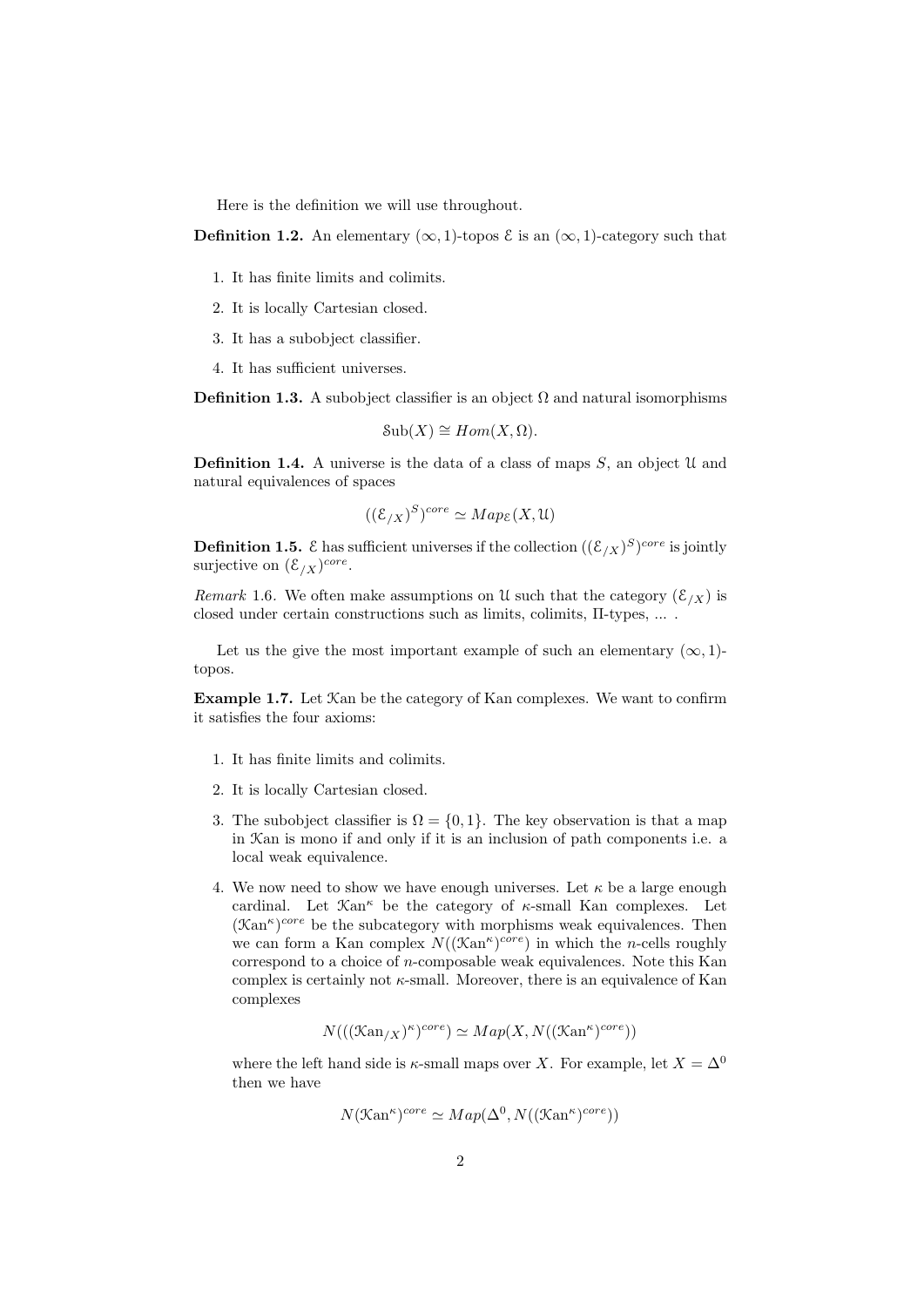Here is the definition we will use throughout.

**Definition 1.2.** An elementary  $(\infty, 1)$ -topos  $\xi$  is an  $(\infty, 1)$ -category such that

- 1. It has finite limits and colimits.
- 2. It is locally Cartesian closed.
- 3. It has a subobject classifier.
- 4. It has sufficient universes.

**Definition 1.3.** A subobject classifier is an object  $\Omega$  and natural isomorphisms

$$
Sub(X) \cong Hom(X, \Omega).
$$

**Definition 1.4.** A universe is the data of a class of maps  $S$ , an object  $\mathcal{U}$  and natural equivalences of spaces

$$
((\mathcal{E}_{/X})^S)^{core} \simeq Map_{\mathcal{E}}(X, \mathcal{U})
$$

**Definition 1.5.**  $\mathcal E$  has sufficient universes if the collection  $((\mathcal E_{/X})^S)^{core}$  is jointly surjective on  $(\mathcal{E}_{X})^{core}$ .

Remark 1.6. We often make assumptions on U such that the category  $(\mathcal{E}_{X})$  is closed under certain constructions such as limits, colimits, Π-types, ... .

Let us the give the most important example of such an elementary  $(\infty, 1)$ topos.

Example 1.7. Let Kan be the category of Kan complexes. We want to confirm it satisfies the four axioms:

- 1. It has finite limits and colimits.
- 2. It is locally Cartesian closed.
- 3. The subobject classifier is  $\Omega = \{0, 1\}$ . The key observation is that a map in Kan is mono if and only if it is an inclusion of path components i.e. a local weak equivalence.
- 4. We now need to show we have enough universes. Let  $\kappa$  be a large enough cardinal. Let  $\mathfrak{Kan}^{\kappa}$  be the category of  $\kappa$ -small Kan complexes. Let  $(\mathfrak{Kan}^{\kappa})^{core}$  be the subcategory with morphisms weak equivalences. Then we can form a Kan complex  $N((\mathfrak{Kan}^{\kappa})^{core})$  in which the *n*-cells roughly correspond to a choice of n-composable weak equivalences. Note this Kan complex is certainly not  $\kappa$ -small. Moreover, there is an equivalence of Kan complexes

$$
N(((\mathfrak{K}\mathrm{an}_{/X})^{\kappa})^{core}) \simeq Map(X, N((\mathfrak{K}\mathrm{an}^{\kappa})^{core}))
$$

where the left hand side is  $\kappa$ -small maps over X. For example, let  $X = \Delta^0$ then we have

$$
N(\mathcal{K}\mathrm{an}^{\kappa})^{core} \simeq Map(\Delta^0, N((\mathcal{K}\mathrm{an}^{\kappa})^{core}))
$$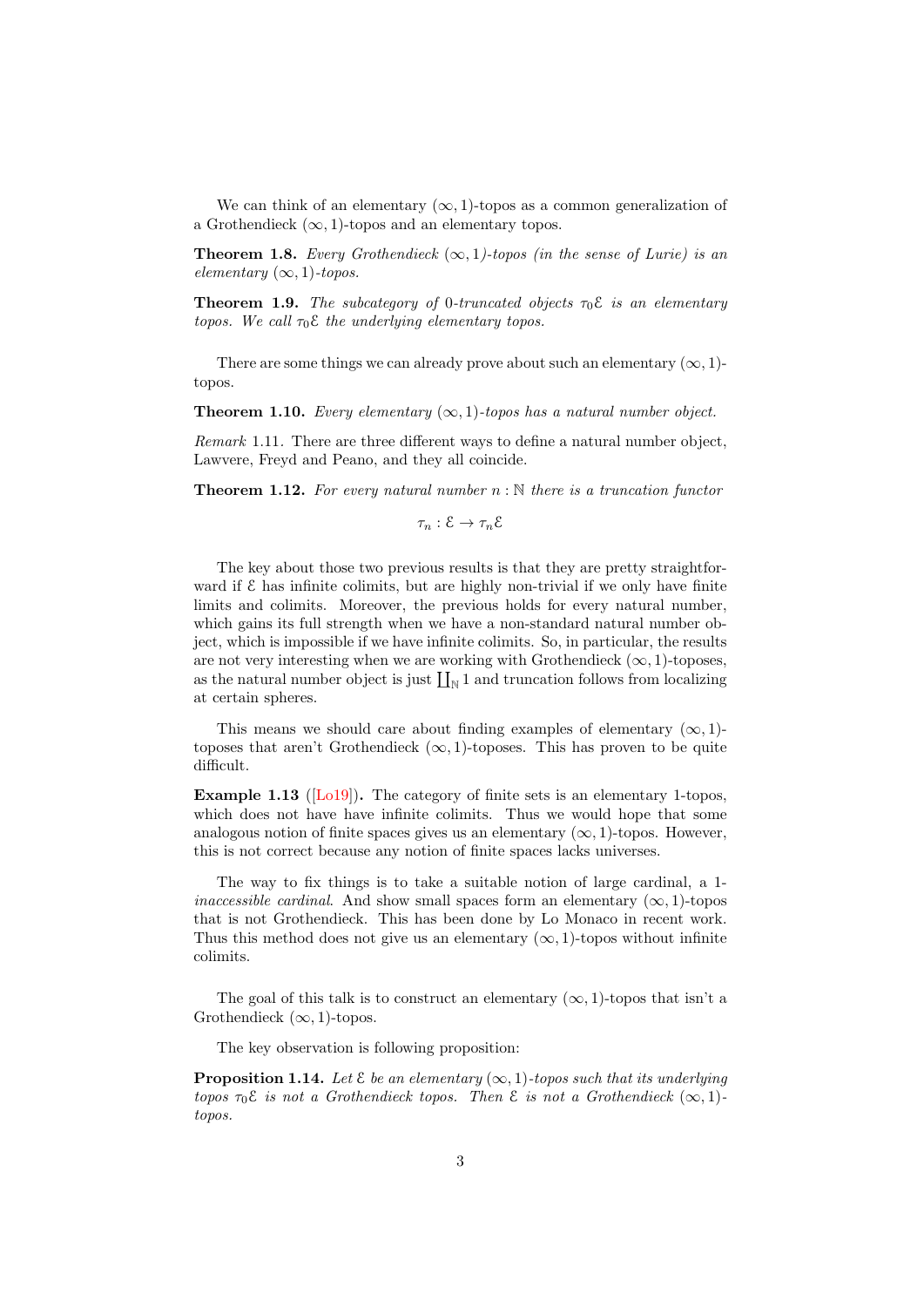We can think of an elementary  $(\infty, 1)$ -topos as a common generalization of a Grothendieck  $(\infty, 1)$ -topos and an elementary topos.

**Theorem 1.8.** Every Grothendieck  $(\infty, 1)$ -topos (in the sense of Lurie) is an elementary  $(\infty, 1)$ -topos.

**Theorem 1.9.** The subcategory of 0-truncated objects  $\tau_0 \mathcal{E}$  is an elementary topos. We call  $\tau_0 \mathcal{E}$  the underlying elementary topos.

There are some things we can already prove about such an elementary  $(\infty, 1)$ topos.

**Theorem 1.10.** Every elementary  $(\infty, 1)$ -topos has a natural number object.

Remark 1.11. There are three different ways to define a natural number object, Lawvere, Freyd and Peano, and they all coincide.

**Theorem 1.12.** For every natural number  $n : \mathbb{N}$  there is a truncation functor

$$
\tau_n:\mathcal{E}\to\tau_n\mathcal{E}
$$

The key about those two previous results is that they are pretty straightforward if  $\mathcal E$  has infinite colimits, but are highly non-trivial if we only have finite limits and colimits. Moreover, the previous holds for every natural number, which gains its full strength when we have a non-standard natural number object, which is impossible if we have infinite colimits. So, in particular, the results are not very interesting when we are working with Grothendieck  $(\infty, 1)$ -toposes, as the natural number object is just  $\prod_{N} 1$  and truncation follows from localizing at certain spheres.

This means we should care about finding examples of elementary  $(\infty, 1)$ toposes that aren't Grothendieck  $(\infty, 1)$ -toposes. This has proven to be quite difficult.

Example 1.13 ([\[Lo19\]](#page-7-1)). The category of finite sets is an elementary 1-topos, which does not have have infinite colimits. Thus we would hope that some analogous notion of finite spaces gives us an elementary  $(\infty, 1)$ -topos. However, this is not correct because any notion of finite spaces lacks universes.

The way to fix things is to take a suitable notion of large cardinal, a 1 inaccessible cardinal. And show small spaces form an elementary  $(\infty, 1)$ -topos that is not Grothendieck. This has been done by Lo Monaco in recent work. Thus this method does not give us an elementary  $(\infty, 1)$ -topos without infinite colimits.

The goal of this talk is to construct an elementary  $(\infty, 1)$ -topos that isn't a Grothendieck  $(\infty, 1)$ -topos.

The key observation is following proposition:

**Proposition 1.14.** Let  $\mathcal E$  be an elementary  $(\infty, 1)$ -topos such that its underlying topos  $\tau_0 \mathcal{E}$  is not a Grothendieck topos. Then  $\mathcal{E}$  is not a Grothendieck  $(\infty, 1)$ topos.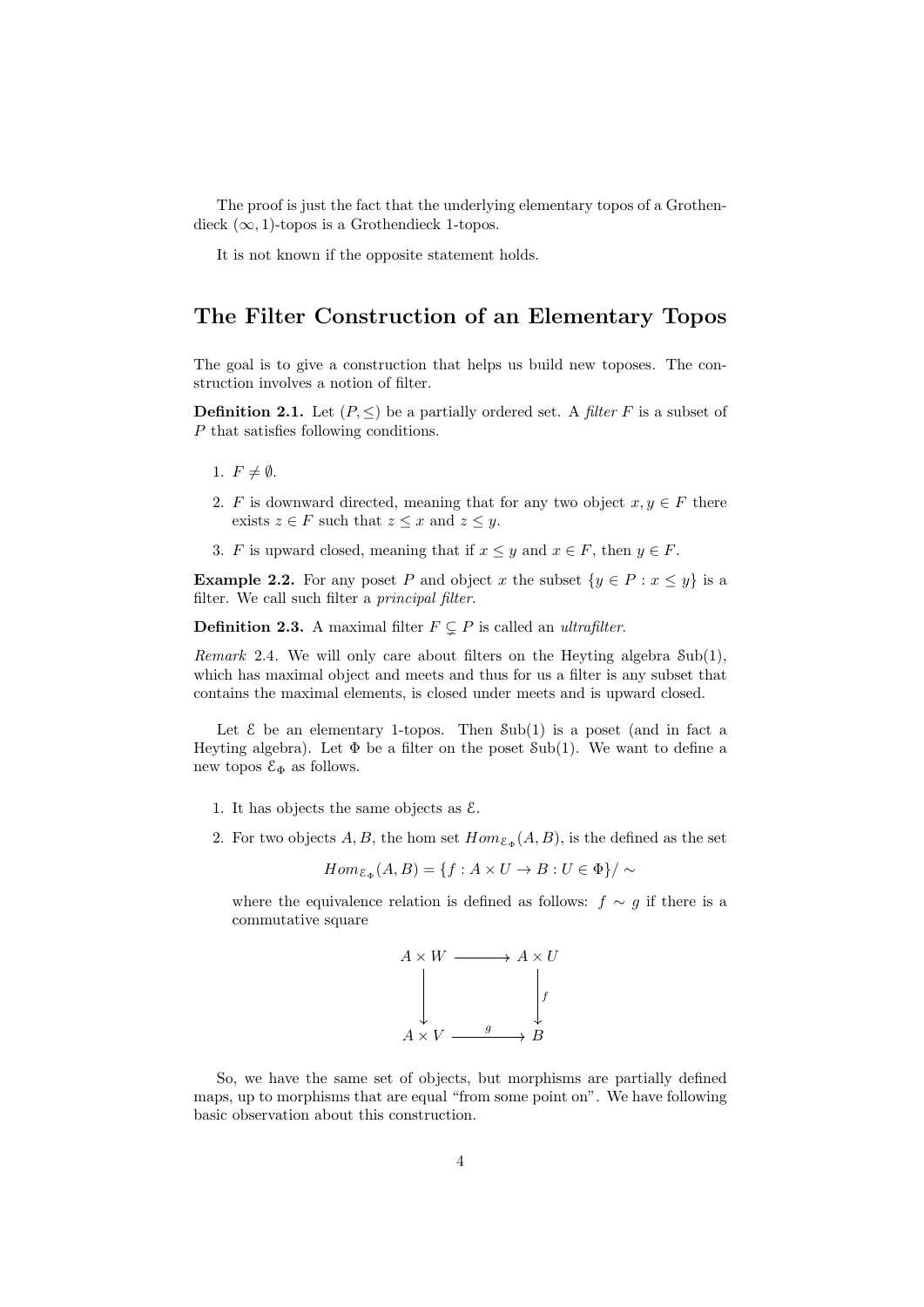The proof is just the fact that the underlying elementary topos of a Grothendieck  $(\infty, 1)$ -topos is a Grothendieck 1-topos.

It is not known if the opposite statement holds.

## The Filter Construction of an Elementary Topos

The goal is to give a construction that helps us build new toposes. The construction involves a notion of filter.

**Definition 2.1.** Let  $(P, \leq)$  be a partially ordered set. A filter F is a subset of P that satisfies following conditions.

- 1.  $F \neq \emptyset$ .
- 2. F is downward directed, meaning that for any two object  $x, y \in F$  there exists  $z \in F$  such that  $z \leq x$  and  $z \leq y$ .
- 3. F is upward closed, meaning that if  $x \leq y$  and  $x \in F$ , then  $y \in F$ .

**Example 2.2.** For any poset P and object x the subset  $\{y \in P : x \leq y\}$  is a filter. We call such filter a principal filter.

**Definition 2.3.** A maximal filter  $F \subseteq P$  is called an *ultrafilter*.

Remark 2.4. We will only care about filters on the Heyting algebra Sub(1), which has maximal object and meets and thus for us a filter is any subset that contains the maximal elements, is closed under meets and is upward closed.

Let  $\&$  be an elementary 1-topos. Then  $\text{Sub}(1)$  is a poset (and in fact a Heyting algebra). Let  $\Phi$  be a filter on the poset Sub(1). We want to define a new topos  $\mathcal{E}_{\Phi}$  as follows.

- 1. It has objects the same objects as  $\mathcal{E}$ .
- 2. For two objects A, B, the hom set  $Hom_{\mathcal{E}_{\Phi}}(A, B)$ , is the defined as the set

$$
Hom_{\mathcal{E}_{\Phi}}(A, B) = \{ f : A \times U \to B : U \in \Phi \} / \sim
$$

where the equivalence relation is defined as follows:  $f \sim g$  if there is a commutative square



So, we have the same set of objects, but morphisms are partially defined maps, up to morphisms that are equal "from some point on". We have following basic observation about this construction.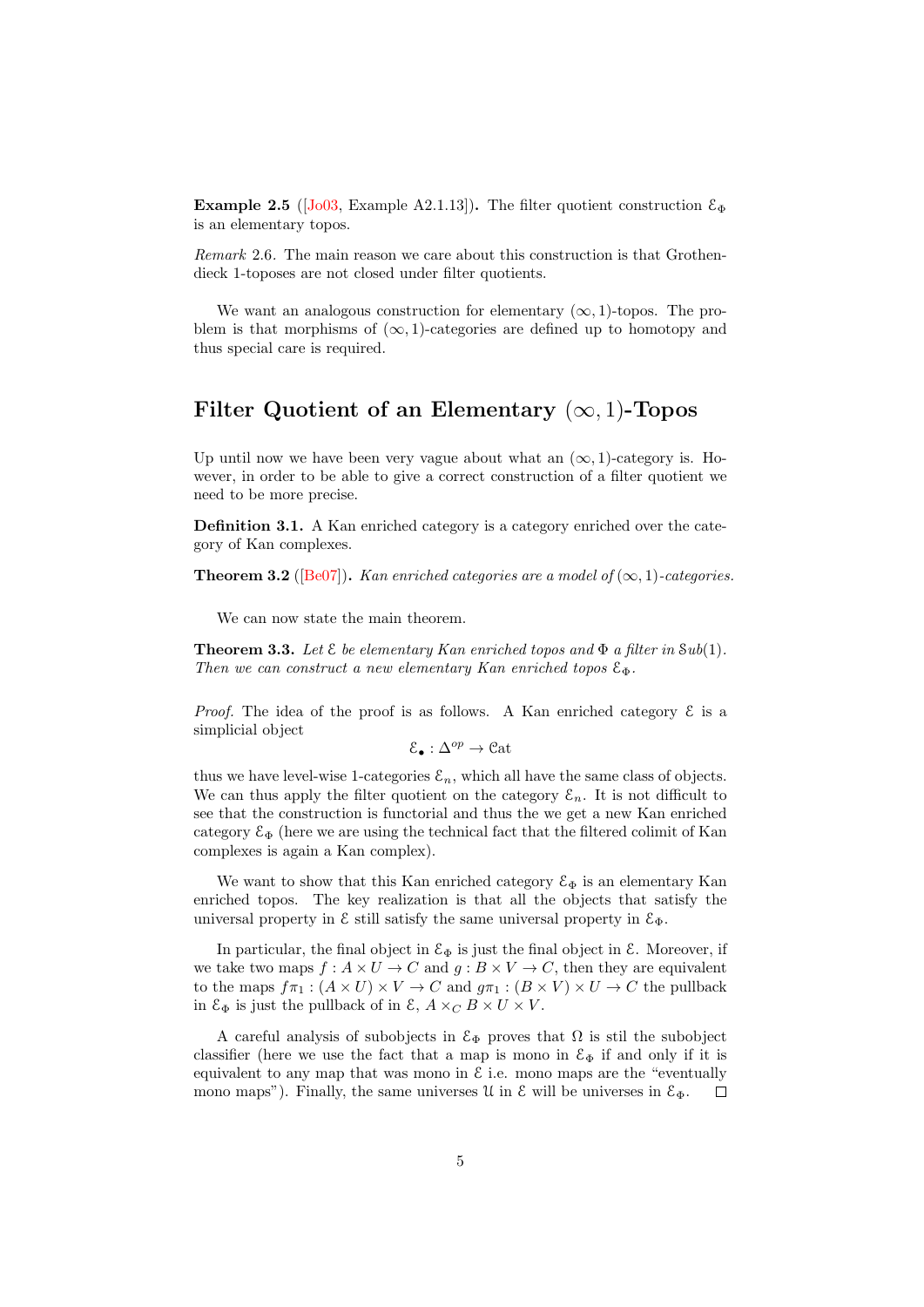Example 2.5 ( $\overline{J_003}$ , Example A2.1.13). The filter quotient construction  $\mathcal{E}_{\Phi}$ is an elementary topos.

Remark 2.6. The main reason we care about this construction is that Grothendieck 1-toposes are not closed under filter quotients.

We want an analogous construction for elementary  $(\infty, 1)$ -topos. The problem is that morphisms of  $(\infty, 1)$ -categories are defined up to homotopy and thus special care is required.

#### Filter Quotient of an Elementary  $(\infty, 1)$ -Topos

Up until now we have been very vague about what an  $(\infty, 1)$ -category is. However, in order to be able to give a correct construction of a filter quotient we need to be more precise.

Definition 3.1. A Kan enriched category is a category enriched over the category of Kan complexes.

**Theorem 3.2** ([\[Be07\]](#page-7-2)). Kan enriched categories are a model of  $(\infty, 1)$ -categories.

We can now state the main theorem.

**Theorem 3.3.** Let  $\mathcal{E}$  be elementary Kan enriched topos and  $\Phi$  a filter in Sub(1). Then we can construct a new elementary Kan enriched topos  $\mathcal{E}_{\Phi}$ .

*Proof.* The idea of the proof is as follows. A Kan enriched category  $\mathcal E$  is a simplicial object

$$
\mathcal{E}_\bullet:\Delta^{op}\to\mathfrak{Cat}
$$

thus we have level-wise 1-categories  $\mathcal{E}_n$ , which all have the same class of objects. We can thus apply the filter quotient on the category  $\mathcal{E}_n$ . It is not difficult to see that the construction is functorial and thus the we get a new Kan enriched category  $\mathcal{E}_{\Phi}$  (here we are using the technical fact that the filtered colimit of Kan complexes is again a Kan complex).

We want to show that this Kan enriched category  $\mathcal{E}_{\Phi}$  is an elementary Kan enriched topos. The key realization is that all the objects that satisfy the universal property in  $\mathcal E$  still satisfy the same universal property in  $\mathcal E_\Phi$ .

In particular, the final object in  $\mathcal{E}_{\Phi}$  is just the final object in  $\mathcal{E}$ . Moreover, if we take two maps  $f : A \times U \to C$  and  $g : B \times V \to C$ , then they are equivalent to the maps  $f\pi_1 : (A \times U) \times V \to C$  and  $g\pi_1 : (B \times V) \times U \to C$  the pullback in  $\mathcal{E}_{\Phi}$  is just the pullback of in  $\mathcal{E}, A \times_C B \times U \times V$ .

A careful analysis of subobjects in  $\mathcal{E}_{\Phi}$  proves that  $\Omega$  is stil the subobject classifier (here we use the fact that a map is mono in  $\mathcal{E}_{\Phi}$  if and only if it is equivalent to any map that was mono in  $\mathcal E$  i.e. mono maps are the "eventually mono maps"). Finally, the same universes  $\mathfrak U$  in  $\mathfrak E$  will be universes in  $\mathfrak E_{\Phi}$ .  $\Box$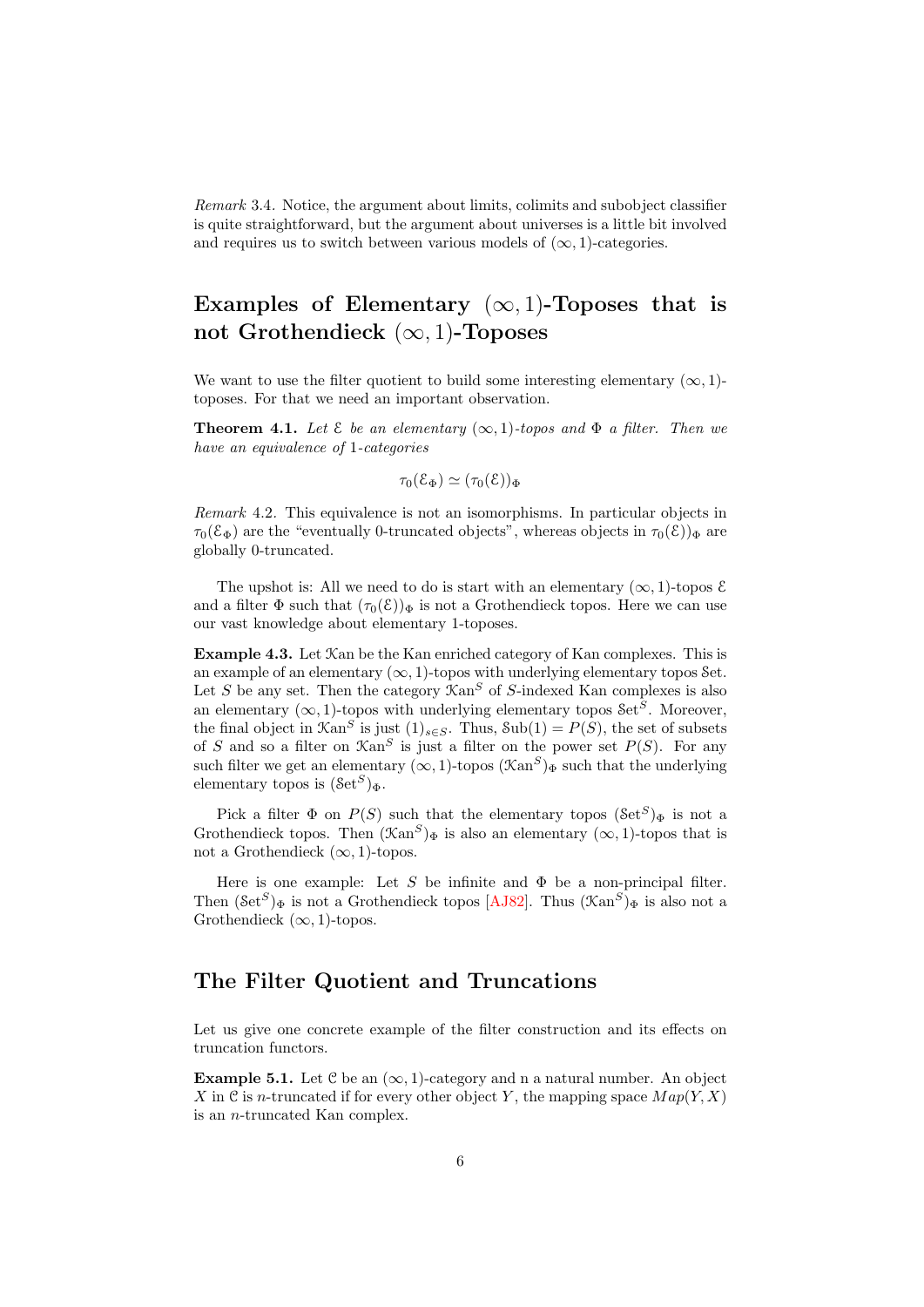Remark 3.4. Notice, the argument about limits, colimits and subobject classifier is quite straightforward, but the argument about universes is a little bit involved and requires us to switch between various models of  $(\infty, 1)$ -categories.

# Examples of Elementary  $(\infty, 1)$ -Toposes that is not Grothendieck  $(\infty, 1)$ -Toposes

We want to use the filter quotient to build some interesting elementary  $(\infty, 1)$ toposes. For that we need an important observation.

**Theorem 4.1.** Let  $\mathcal E$  be an elementary  $(\infty, 1)$ -topos and  $\Phi$  a filter. Then we have an equivalence of 1-categories

$$
\tau_0(\mathcal{E}_\Phi) \simeq (\tau_0(\mathcal{E}))_\Phi
$$

Remark 4.2. This equivalence is not an isomorphisms. In particular objects in  $\tau_0(\mathcal{E}_{\Phi})$  are the "eventually 0-truncated objects", whereas objects in  $\tau_0(\mathcal{E})_{\Phi}$  are globally 0-truncated.

The upshot is: All we need to do is start with an elementary  $(\infty, 1)$ -topos  $\mathcal E$ and a filter  $\Phi$  such that  $(\tau_0(\mathcal{E}))_{\Phi}$  is not a Grothendieck topos. Here we can use our vast knowledge about elementary 1-toposes.

Example 4.3. Let Kan be the Kan enriched category of Kan complexes. This is an example of an elementary  $(\infty, 1)$ -topos with underlying elementary topos Set. Let S be any set. Then the category  $\mathfrak{Kan}^S$  of S-indexed Kan complexes is also an elementary  $(\infty, 1)$ -topos with underlying elementary topos Set<sup>S</sup>. Moreover, the final object in  $\mathcal{K}\text{an}^S$  is just  $(1)_{s\in S}$ . Thus,  $\text{Sub}(1) = P(S)$ , the set of subsets of S and so a filter on  $\mathfrak{Kan}^S$  is just a filter on the power set  $P(S)$ . For any such filter we get an elementary  $(\infty, 1)$ -topos  $(\mathcal{K}\mathrm{an}^S)_\Phi$  such that the underlying elementary topos is  $(\mathcal{S}et^S)_{\Phi}$ .

Pick a filter  $\Phi$  on  $P(S)$  such that the elementary topos  $(\text{Set}^S)_{\Phi}$  is not a Grothendieck topos. Then  $(\mathfrak{Kan}^S)_{\Phi}$  is also an elementary  $(\infty, 1)$ -topos that is not a Grothendieck  $(\infty, 1)$ -topos.

Here is one example: Let S be infinite and  $\Phi$  be a non-principal filter. Then  $(\text{Set}^S)_{\Phi}$  is not a Grothendieck topos [\[AJ82\]](#page-7-3). Thus  $(\text{Kan}^S)_{\Phi}$  is also not a Grothendieck  $(\infty, 1)$ -topos.

#### The Filter Quotient and Truncations

Let us give one concrete example of the filter construction and its effects on truncation functors.

**Example 5.1.** Let  $\mathcal{C}$  be an  $(\infty, 1)$ -category and n a natural number. An object X in C is n-truncated if for every other object Y, the mapping space  $Map(Y, X)$ is an n-truncated Kan complex.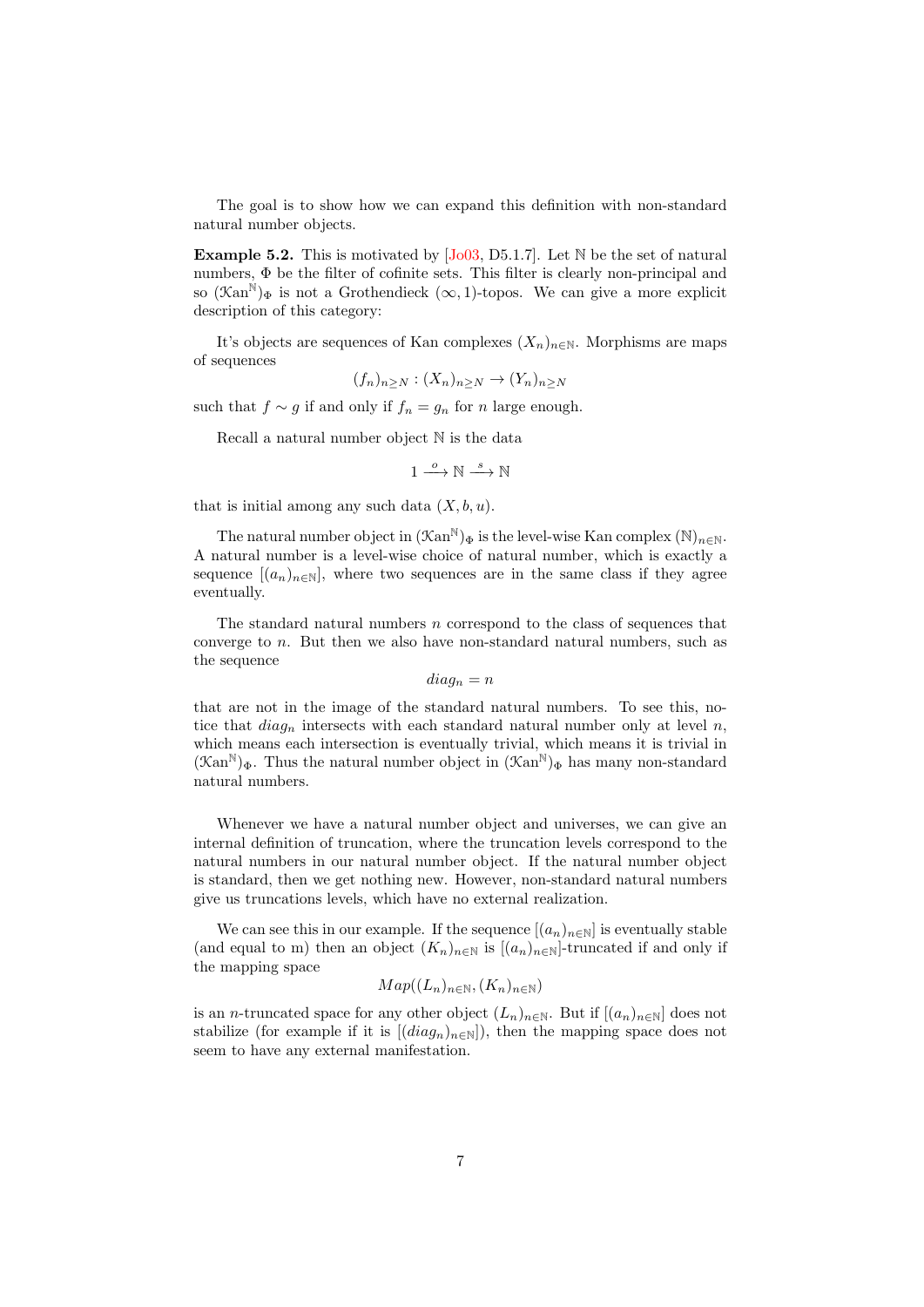The goal is to show how we can expand this definition with non-standard natural number objects.

**Example 5.2.** This is motivated by  $[Jo03, D5.1.7]$  $[Jo03, D5.1.7]$ . Let  $\mathbb N$  be the set of natural numbers, Φ be the filter of cofinite sets. This filter is clearly non-principal and so  $(\mathcal{K}an^N)_{\Phi}$  is not a Grothendieck  $(\infty, 1)$ -topos. We can give a more explicit description of this category:

It's objects are sequences of Kan complexes  $(X_n)_{n\in\mathbb{N}}$ . Morphisms are maps of sequences

$$
(f_n)_{n\geq N}: (X_n)_{n\geq N}\to (Y_n)_{n\geq N}
$$

such that  $f \sim g$  if and only if  $f_n = g_n$  for n large enough.

Recall a natural number object N is the data

 $1 \xrightarrow{o} \mathbb{N} \xrightarrow{s} \mathbb{N}$ 

that is initial among any such data  $(X, b, u)$ .

The natural number object in  $(\mathcal{K}\mathrm{an}^{\mathbb{N}})_\Phi$  is the level-wise Kan complex  $(\mathbb{N})_{n\in\mathbb{N}}$ . A natural number is a level-wise choice of natural number, which is exactly a sequence  $[(a_n)_{n\in\mathbb{N}}]$ , where two sequences are in the same class if they agree eventually.

The standard natural numbers  $n$  correspond to the class of sequences that converge to n. But then we also have non-standard natural numbers, such as the sequence

 $diag_n = n$ 

that are not in the image of the standard natural numbers. To see this, notice that  $diag_n$  intersects with each standard natural number only at level n, which means each intersection is eventually trivial, which means it is trivial in  $(\mathcal{K}an^{\mathbb{N}})_{\Phi}$ . Thus the natural number object in  $(\mathcal{K}an^{\mathbb{N}})_{\Phi}$  has many non-standard natural numbers.

Whenever we have a natural number object and universes, we can give an internal definition of truncation, where the truncation levels correspond to the natural numbers in our natural number object. If the natural number object is standard, then we get nothing new. However, non-standard natural numbers give us truncations levels, which have no external realization.

We can see this in our example. If the sequence  $[(a_n)_{n\in\mathbb{N}}]$  is eventually stable (and equal to m) then an object  $(K_n)_{n\in\mathbb{N}}$  is  $[(a_n)_{n\in\mathbb{N}}]$ -truncated if and only if the mapping space

$$
Map((L_n)_{n \in \mathbb{N}}, (K_n)_{n \in \mathbb{N}})
$$

is an n-truncated space for any other object  $(L_n)_{n\in\mathbb{N}}$ . But if  $[(a_n)_{n\in\mathbb{N}}]$  does not stabilize (for example if it is  $[(diag_n)_{n\in\mathbb{N}}]$ ), then the mapping space does not seem to have any external manifestation.